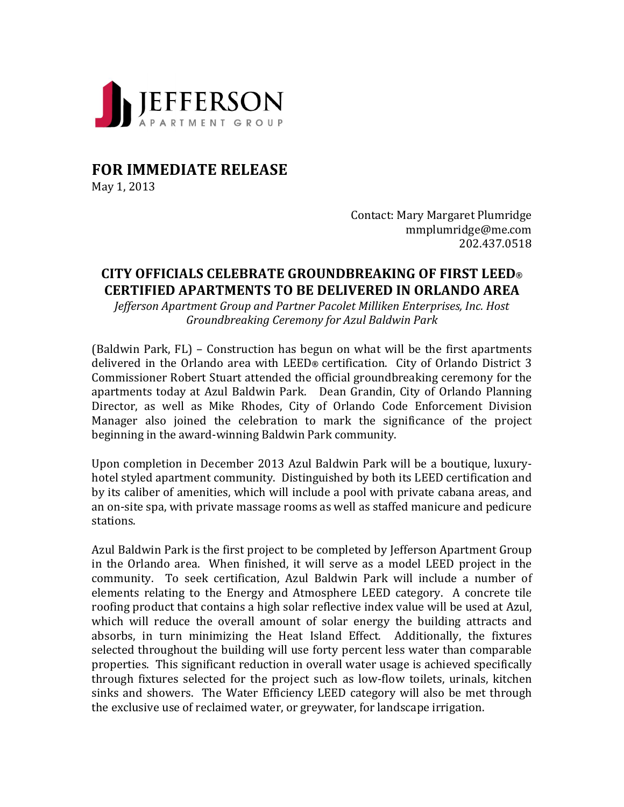

## **FOR IMMEDIATE RELEASE**

May 1, 2013

Contact: Mary Margaret Plumridge mmplumridge@me.com 202.437.0518

## **CITY OFFICIALS CELEBRATE GROUNDBREAKING OF FIRST LEED® CERTIFIED APARTMENTS TO BE DELIVERED IN ORLANDO AREA**

*Jefferson Apartment Group and Partner Pacolet Milliken Enterprises, Inc. Host Groundbreaking Ceremony for Azul Baldwin Park*

(Baldwin Park,  $FL$ ) – Construction has begun on what will be the first apartments delivered in the Orlando area with LEED® certification. City of Orlando District 3 Commissioner Robert Stuart attended the official groundbreaking ceremony for the apartments today at Azul Baldwin Park. Dean Grandin, City of Orlando Planning Director, as well as Mike Rhodes, City of Orlando Code Enforcement Division Manager also joined the celebration to mark the significance of the project beginning in the award-winning Baldwin Park community.

Upon completion in December 2013 Azul Baldwin Park will be a boutique, luxuryhotel styled apartment community. Distinguished by both its LEED certification and by its caliber of amenities, which will include a pool with private cabana areas, and an on-site spa, with private massage rooms as well as staffed manicure and pedicure stations. 

Azul Baldwin Park is the first project to be completed by Jefferson Apartment Group in the Orlando area. When finished, it will serve as a model LEED project in the community. To seek certification, Azul Baldwin Park will include a number of elements relating to the Energy and Atmosphere LEED category. A concrete tile roofing product that contains a high solar reflective index value will be used at Azul, which will reduce the overall amount of solar energy the building attracts and absorbs, in turn minimizing the Heat Island Effect. Additionally, the fixtures selected throughout the building will use forty percent less water than comparable properties. This significant reduction in overall water usage is achieved specifically through fixtures selected for the project such as low-flow toilets, urinals, kitchen sinks and showers. The Water Efficiency LEED category will also be met through the exclusive use of reclaimed water, or greywater, for landscape irrigation.